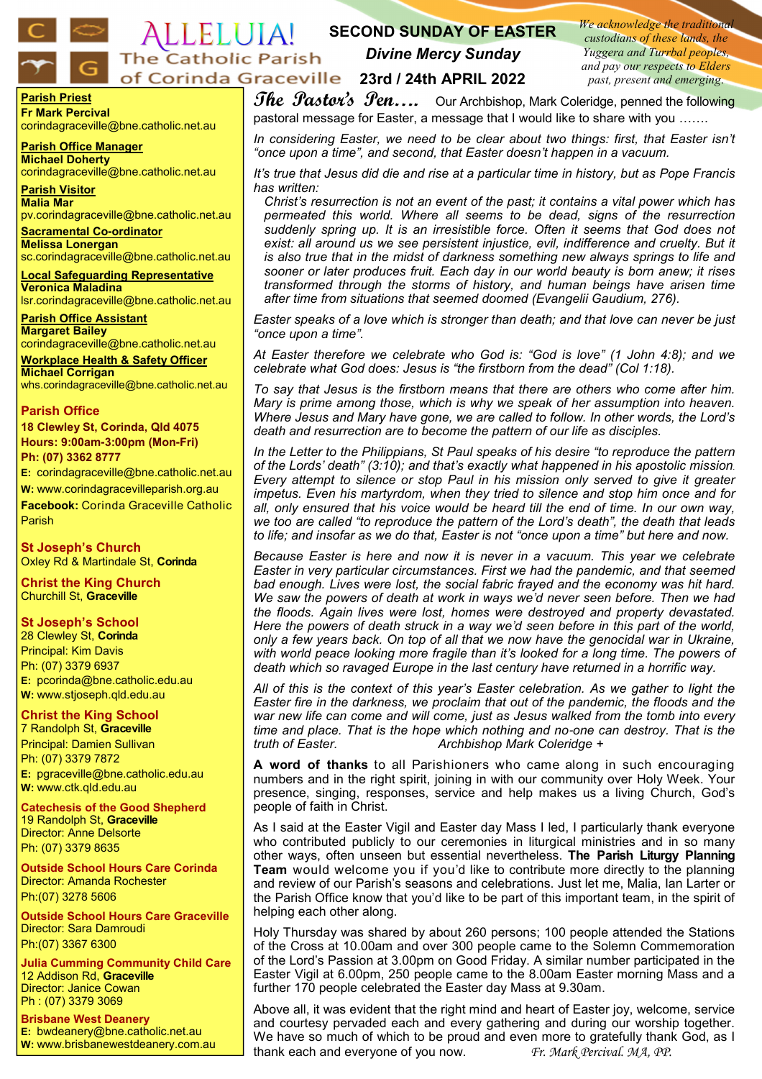#### *We acknowledge the traditional*  ALLELUIA! **SECOND SUNDAY OF EASTER**  *custodians of these lands, the Yuggera and Turrbal peoples, Divine Mercy Sunday* The Catholic Parish *and pay our respects to Elders*  **23rd / 24th APRIL 2022** *past, present and emerging*.

**Parish Priest Fr Mark Percival** corindagraceville@bne.catholic.net.au

**Parish Office Manager Michael Doherty** corindagraceville@bne.catholic.net.au

**Parish Visitor Malia Mar**  pv.corindagraceville@bne.catholic.net.au

**Sacramental Co-ordinator Melissa Lonergan**  sc.corindagraceville@bne.catholic.net.au

**Local Safeguarding Representative Veronica Maladina** lsr.corindagraceville@bne.catholic.net.au

**Parish Office Assistant Margaret Bailey**  corindagraceville@bne.catholic.net.au

**Workplace Health & Safety Officer Michael Corrigan** whs.corindagraceville@bne.catholic.net.au

### **Parish Office**

**18 Clewley St, Corinda, Qld 4075 Hours: 9:00am-3:00pm (Mon-Fri) Ph: (07) 3362 8777**

**E:** corindagraceville@bne.catholic.net.au

**W:** www.corindagracevilleparish.org.au **Facebook:** Corinda Graceville Catholic

Parish **St Joseph's Church**

Oxley Rd & Martindale St, **Corinda**

**Christ the King Church** Churchill St, **Graceville**

# **St Joseph's School**

28 Clewley St, **Corinda** Principal: Kim Davis Ph: (07) 3379 6937 **E:** pcorinda@bne.catholic.edu.au **W:** www.stjoseph.qld.edu.au

# **Christ the King School**

7 Randolph St, **Graceville** Principal: Damien Sullivan Ph: (07) 3379 7872 **E:** pgraceville@bne.catholic.edu.au **W:** www.ctk.qld.edu.au

**Catechesis of the Good Shepherd**  19 Randolph St, **Graceville**  Director: Anne Delsorte Ph: (07) 3379 8635

**Outside School Hours Care Corinda**  Director: Amanda Rochester Ph:(07) 3278 5606

**Outside School Hours Care Graceville**  Director: Sara Damroudi Ph:(07) 3367 6300

**Julia Cumming Community Child Care**  12 Addison Rd, **Graceville**  Director: Janice Cowan Ph : (07) 3379 3069

**Brisbane West Deanery E:** bwdeanery@bne.catholic.net.au **W:** www.brisbanewestdeanery.com.au

**The Pastor's Pen....** Our Archbishop, Mark Coleridge, penned the following pastoral message for Easter, a message that I would like to share with you …….

*In considering Easter, we need to be clear about two things: first, that Easter isn't "once upon a time", and second, that Easter doesn't happen in a vacuum.*

*It's true that Jesus did die and rise at a particular time in history, but as Pope Francis has written:* 

*Christ's resurrection is not an event of the past; it contains a vital power which has permeated this world. Where all seems to be dead, signs of the resurrection suddenly spring up. It is an irresistible force. Often it seems that God does not*  exist: all around us we see persistent injustice, evil, indifference and cruelty. But it *is also true that in the midst of darkness something new always springs to life and sooner or later produces fruit. Each day in our world beauty is born anew; it rises transformed through the storms of history, and human beings have arisen time after time from situations that seemed doomed (Evangelii Gaudium, 276).* 

*Easter speaks of a love which is stronger than death; and that love can never be just "once upon a time".* 

*At Easter therefore we celebrate who God is: "God is love" (1 John 4:8); and we celebrate what God does: Jesus is "the firstborn from the dead" (Col 1:18).* 

*To say that Jesus is the firstborn means that there are others who come after him. Mary is prime among those, which is why we speak of her assumption into heaven. Where Jesus and Mary have gone, we are called to follow. In other words, the Lord's death and resurrection are to become the pattern of our life as disciples.* 

*In the Letter to the Philippians, St Paul speaks of his desire "to reproduce the pattern of the Lords' death" (3:10); and that's exactly what happened in his apostolic mission. Every attempt to silence or stop Paul in his mission only served to give it greater impetus. Even his martyrdom, when they tried to silence and stop him once and for all, only ensured that his voice would be heard till the end of time. In our own way, we too are called "to reproduce the pattern of the Lord's death", the death that leads to life; and insofar as we do that, Easter is not "once upon a time" but here and now.* 

*Because Easter is here and now it is never in a vacuum. This year we celebrate Easter in very particular circumstances. First we had the pandemic, and that seemed bad enough. Lives were lost, the social fabric frayed and the economy was hit hard. We saw the powers of death at work in ways we'd never seen before. Then we had the floods. Again lives were lost, homes were destroyed and property devastated. Here the powers of death struck in a way we'd seen before in this part of the world, only a few years back. On top of all that we now have the genocidal war in Ukraine, with world peace looking more fragile than it's looked for a long time. The powers of death which so ravaged Europe in the last century have returned in a horrific way.* 

*All of this is the context of this year's Easter celebration. As we gather to light the Easter fire in the darkness, we proclaim that out of the pandemic, the floods and the war new life can come and will come, just as Jesus walked from the tomb into every time and place. That is the hope which nothing and no*-*one can destroy. That is the truth of Easter. Archbishop Mark Coleridge +*

**A word of thanks** to all Parishioners who came along in such encouraging numbers and in the right spirit, joining in with our community over Holy Week. Your presence, singing, responses, service and help makes us a living Church, God's people of faith in Christ.

As I said at the Easter Vigil and Easter day Mass I led, I particularly thank everyone who contributed publicly to our ceremonies in liturgical ministries and in so many other ways, often unseen but essential nevertheless. **The Parish Liturgy Planning Team** would welcome you if you'd like to contribute more directly to the planning and review of our Parish's seasons and celebrations. Just let me, Malia, Ian Larter or the Parish Office know that you'd like to be part of this important team, in the spirit of helping each other along.

Holy Thursday was shared by about 260 persons; 100 people attended the Stations of the Cross at 10.00am and over 300 people came to the Solemn Commemoration of the Lord's Passion at 3.00pm on Good Friday. A similar number participated in the Easter Vigil at 6.00pm, 250 people came to the 8.00am Easter morning Mass and a further 170 people celebrated the Easter day Mass at 9.30am.

Above all, it was evident that the right mind and heart of Easter joy, welcome, service and courtesy pervaded each and every gathering and during our worship together. We have so much of which to be proud and even more to gratefully thank God, as I thank each and everyone of you now. *Fr. Mark Percival. MA, PP.*